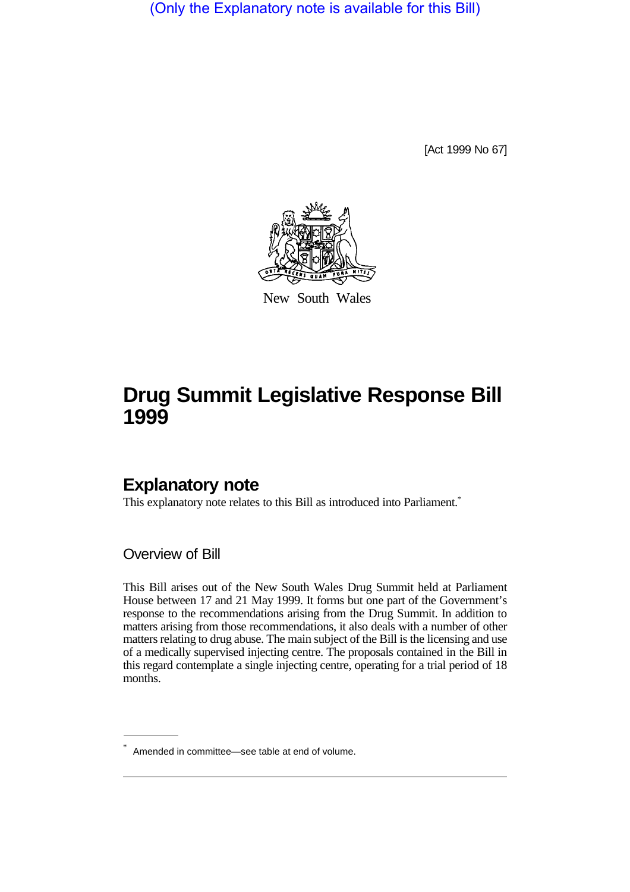(Only the Explanatory note is available for this Bill)

[Act 1999 No 67]



New South Wales

# **Drug Summit Legislative Response Bill 1999**

### **Explanatory note**

This explanatory note relates to this Bill as introduced into Parliament.<sup>\*</sup>

Overview of Bill

This Bill arises out of the New South Wales Drug Summit held at Parliament House between 17 and 21 May 1999. It forms but one part of the Government's response to the recommendations arising from the Drug Summit. In addition to matters arising from those recommendations, it also deals with a number of other matters relating to drug abuse. The main subject of the Bill is the licensing and use of a medically supervised injecting centre. The proposals contained in the Bill in this regard contemplate a single injecting centre, operating for a trial period of 18 months.

<sup>\*</sup> Amended in committee—see table at end of volume.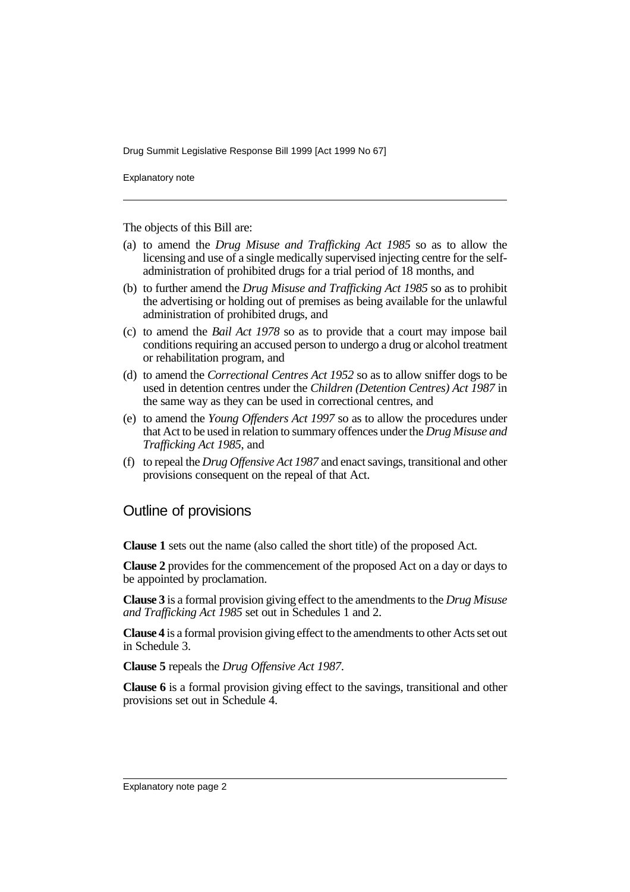Explanatory note

The objects of this Bill are:

- (a) to amend the *Drug Misuse and Trafficking Act 1985* so as to allow the licensing and use of a single medically supervised injecting centre for the selfadministration of prohibited drugs for a trial period of 18 months, and
- (b) to further amend the *Drug Misuse and Trafficking Act 1985* so as to prohibit the advertising or holding out of premises as being available for the unlawful administration of prohibited drugs, and
- (c) to amend the *Bail Act 1978* so as to provide that a court may impose bail conditions requiring an accused person to undergo a drug or alcohol treatment or rehabilitation program, and
- (d) to amend the *Correctional Centres Act 1952* so as to allow sniffer dogs to be used in detention centres under the *Children (Detention Centres) Act 1987* in the same way as they can be used in correctional centres, and
- (e) to amend the *Young Offenders Act 1997* so as to allow the procedures under that Act to be used in relation to summary offences under the *Drug Misuse and Trafficking Act 1985*, and
- (f) to repeal the *Drug Offensive Act 1987* and enact savings, transitional and other provisions consequent on the repeal of that Act.

### Outline of provisions

**Clause 1** sets out the name (also called the short title) of the proposed Act.

**Clause 2** provides for the commencement of the proposed Act on a day or days to be appointed by proclamation.

**Clause 3** is a formal provision giving effect to the amendments to the *Drug Misuse and Trafficking Act 1985* set out in Schedules 1 and 2.

**Clause 4** is a formal provision giving effect to the amendments to other Acts set out in Schedule 3.

**Clause 5** repeals the *Drug Offensive Act 1987*.

**Clause 6** is a formal provision giving effect to the savings, transitional and other provisions set out in Schedule 4.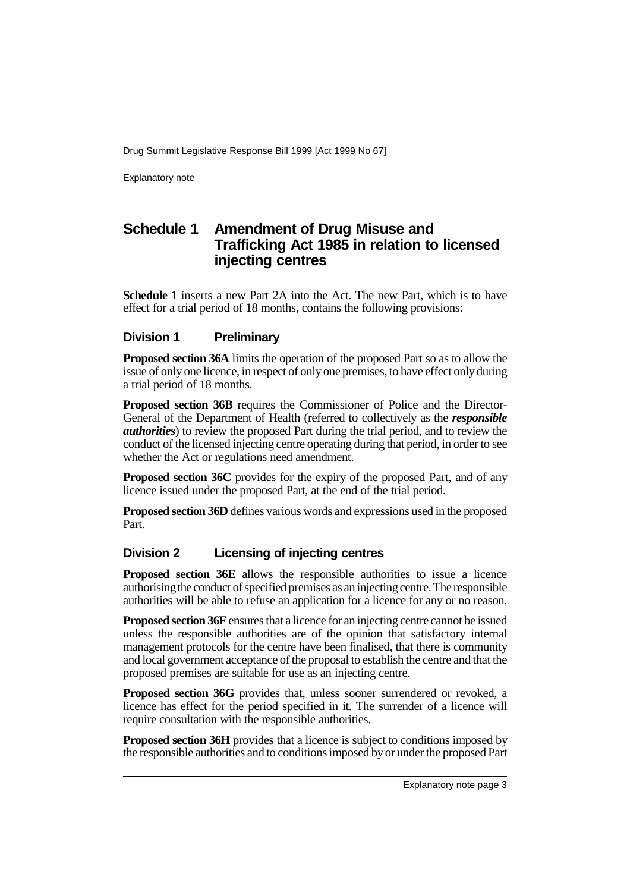Explanatory note

### **Schedule 1 Amendment of Drug Misuse and Trafficking Act 1985 in relation to licensed injecting centres**

**Schedule 1** inserts a new Part 2A into the Act. The new Part, which is to have effect for a trial period of 18 months, contains the following provisions:

#### **Division 1 Preliminary**

**Proposed section 36A** limits the operation of the proposed Part so as to allow the issue of only one licence, in respect of only one premises, to have effect only during a trial period of 18 months.

**Proposed section 36B** requires the Commissioner of Police and the Director-General of the Department of Health (referred to collectively as the *responsible authorities*) to review the proposed Part during the trial period, and to review the conduct of the licensed injecting centre operating during that period, in order to see whether the Act or regulations need amendment.

**Proposed section 36C** provides for the expiry of the proposed Part, and of any licence issued under the proposed Part, at the end of the trial period.

**Proposed section 36D** defines various words and expressions used in the proposed Part.

#### **Division 2 Licensing of injecting centres**

**Proposed section 36E** allows the responsible authorities to issue a licence authorising the conduct of specified premises as an injecting centre. The responsible authorities will be able to refuse an application for a licence for any or no reason.

**Proposed section 36F** ensures that a licence for an injecting centre cannot be issued unless the responsible authorities are of the opinion that satisfactory internal management protocols for the centre have been finalised, that there is community and local government acceptance of the proposal to establish the centre and that the proposed premises are suitable for use as an injecting centre.

**Proposed section 36G** provides that, unless sooner surrendered or revoked, a licence has effect for the period specified in it. The surrender of a licence will require consultation with the responsible authorities.

**Proposed section 36H** provides that a licence is subject to conditions imposed by the responsible authorities and to conditions imposed by or under the proposed Part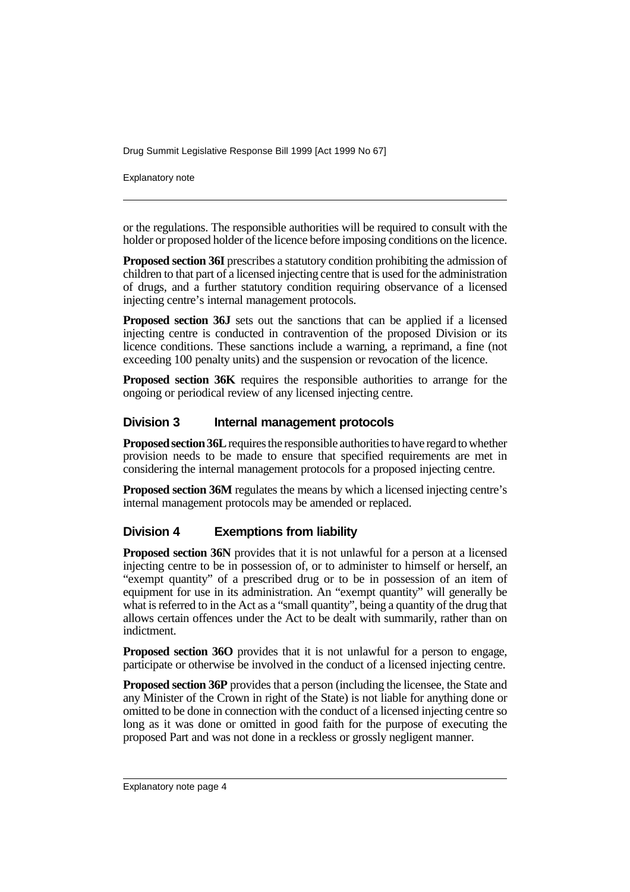Explanatory note

or the regulations. The responsible authorities will be required to consult with the holder or proposed holder of the licence before imposing conditions on the licence.

**Proposed section 36I** prescribes a statutory condition prohibiting the admission of children to that part of a licensed injecting centre that is used for the administration of drugs, and a further statutory condition requiring observance of a licensed injecting centre's internal management protocols.

**Proposed section 36J** sets out the sanctions that can be applied if a licensed injecting centre is conducted in contravention of the proposed Division or its licence conditions. These sanctions include a warning, a reprimand, a fine (not exceeding 100 penalty units) and the suspension or revocation of the licence.

**Proposed section 36K** requires the responsible authorities to arrange for the ongoing or periodical review of any licensed injecting centre.

#### **Division 3 Internal management protocols**

**Proposed section 36L** requires the responsible authorities to have regard to whether provision needs to be made to ensure that specified requirements are met in considering the internal management protocols for a proposed injecting centre.

**Proposed section 36M** regulates the means by which a licensed injecting centre's internal management protocols may be amended or replaced.

#### **Division 4 Exemptions from liability**

**Proposed section 36N** provides that it is not unlawful for a person at a licensed injecting centre to be in possession of, or to administer to himself or herself, an "exempt quantity" of a prescribed drug or to be in possession of an item of equipment for use in its administration. An "exempt quantity" will generally be what is referred to in the Act as a "small quantity", being a quantity of the drug that allows certain offences under the Act to be dealt with summarily, rather than on indictment.

**Proposed section 36O** provides that it is not unlawful for a person to engage, participate or otherwise be involved in the conduct of a licensed injecting centre.

**Proposed section 36P** provides that a person (including the licensee, the State and any Minister of the Crown in right of the State) is not liable for anything done or omitted to be done in connection with the conduct of a licensed injecting centre so long as it was done or omitted in good faith for the purpose of executing the proposed Part and was not done in a reckless or grossly negligent manner.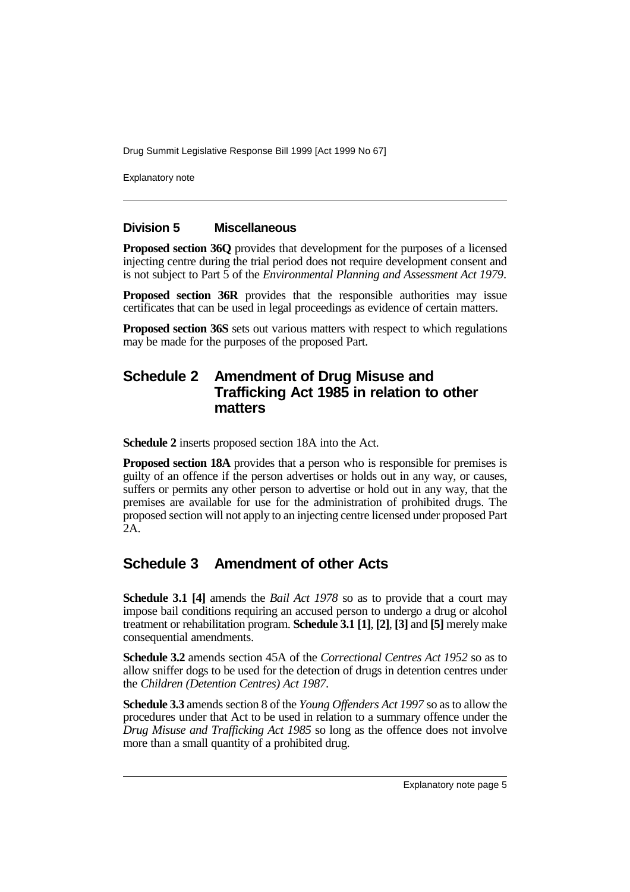Explanatory note

#### **Division 5 Miscellaneous**

**Proposed section 36Q** provides that development for the purposes of a licensed injecting centre during the trial period does not require development consent and is not subject to Part 5 of the *Environmental Planning and Assessment Act 1979*.

**Proposed section 36R** provides that the responsible authorities may issue certificates that can be used in legal proceedings as evidence of certain matters.

**Proposed section 36S** sets out various matters with respect to which regulations may be made for the purposes of the proposed Part.

### **Schedule 2 Amendment of Drug Misuse and Trafficking Act 1985 in relation to other matters**

**Schedule 2** inserts proposed section 18A into the Act.

**Proposed section 18A** provides that a person who is responsible for premises is guilty of an offence if the person advertises or holds out in any way, or causes, suffers or permits any other person to advertise or hold out in any way, that the premises are available for use for the administration of prohibited drugs. The proposed section will not apply to an injecting centre licensed under proposed Part 2A.

### **Schedule 3 Amendment of other Acts**

**Schedule 3.1 [4]** amends the *Bail Act 1978* so as to provide that a court may impose bail conditions requiring an accused person to undergo a drug or alcohol treatment or rehabilitation program. **Schedule 3.1 [1]**, **[2]**, **[3]** and **[5]** merely make consequential amendments.

**Schedule 3.2** amends section 45A of the *Correctional Centres Act 1952* so as to allow sniffer dogs to be used for the detection of drugs in detention centres under the *Children (Detention Centres) Act 1987*.

**Schedule 3.3** amends section 8 of the *Young Offenders Act 1997* so as to allow the procedures under that Act to be used in relation to a summary offence under the *Drug Misuse and Trafficking Act 1985* so long as the offence does not involve more than a small quantity of a prohibited drug.